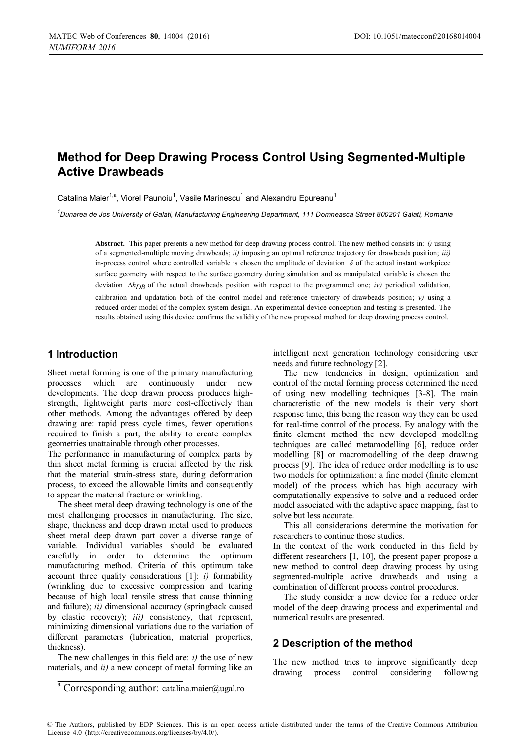# **Method for Deep Drawing Process Control Using Segmented-Multiple Active Drawbeads**

Catalina Maier<sup>1,a</sup>, Viorel Paunoiu<sup>1</sup>, Vasile Marinescu<sup>1</sup> and Alexandru Epureanu<sup>1</sup>

*1 Dunarea de Jos University of Galati, Manufacturing Engineering Department, 111 Domneasca Street 800201 Galati, Romania* 

**Abstract.** This paper presents a new method for deep drawing process control. The new method consists in:  $i$ ) using of a segmented-multiple moving drawbeads; *ii)* imposing an optimal reference trajectory for drawbeads position; *iii)* in-process control where controlled variable is chosen the amplitude of deviation  $\delta$  of the actual instant workpiece surface geometry with respect to the surface geometry during simulation and as manipulated variable is chosen the deviation  $\Delta h_{DR}$  of the actual drawbeads position with respect to the programmed one; *iv*) periodical validation, calibration and updatation both of the control model and reference trajectory of drawbeads position; *v)* using a reduced order model of the complex system design. An experimental device conception and testing is presented. The results obtained using this device confirms the validity of the new proposed method for deep drawing process control.

### **1 Introduction**

Sheet metal forming is one of the primary manufacturing<br>processes which are continuously under new which are continuously under new developments. The deep drawn process produces highstrength, lightweight parts more cost-effectively than other methods. Among the advantages offered by deep drawing are: rapid press cycle times, fewer operations required to finish a part, the ability to create complex geometries unattainable through other processes.

The performance in manufacturing of complex parts by thin sheet metal forming is crucial affected by the risk that the material strain-stress state, during deformation process, to exceed the allowable limits and consequently to appear the material fracture or wrinkling.

The sheet metal deep drawing technology is one of the most challenging processes in manufacturing. The size, shape, thickness and deep drawn metal used to produces sheet metal deep drawn part cover a diverse range of variable. Individual variables should be evaluated carefully in order to determine the optimum manufacturing method. Criteria of this optimum take account three quality considerations [1]: *i)* formability (wrinkling due to excessive compression and tearing because of high local tensile stress that cause thinning and failure); *ii)* dimensional accuracy (springback caused by elastic recovery); *iii)* consistency, that represent, minimizing dimensional variations due to the variation of different parameters (lubrication, material properties, thickness).

The new challenges in this field are: *i)* the use of new materials, and *ii)* a new concept of metal forming like an intelligent next generation technology considering user needs and future technology [2].

The new tendencies in design, optimization and control of the metal forming process determined the need of using new modelling techniques [3-8]. The main characteristic of the new models is their very short response time, this being the reason why they can be used for real-time control of the process. By analogy with the finite element method the new developed modelling techniques are called metamodelling [6], reduce order modelling [8] or macromodelling of the deep drawing process [9]. The idea of reduce order modelling is to use two models for optimization: a fine model (finite element model) of the process which has high accuracy with computationally expensive to solve and a reduced order model associated with the adaptive space mapping, fast to solve but less accurate.

This all considerations determine the motivation for researchers to continue those studies.

In the context of the work conducted in this field by different researchers [1, 10], the present paper propose a new method to control deep drawing process by using segmented-multiple active drawbeads and using a combination of different process control procedures.

The study consider a new device for a reduce order model of the deep drawing process and experimental and numerical results are presented.

### **2 Description of the method**

The new method tries to improve significantly deep drawing process control considering following

a Corresponding author: catalina.maier@ugal.ro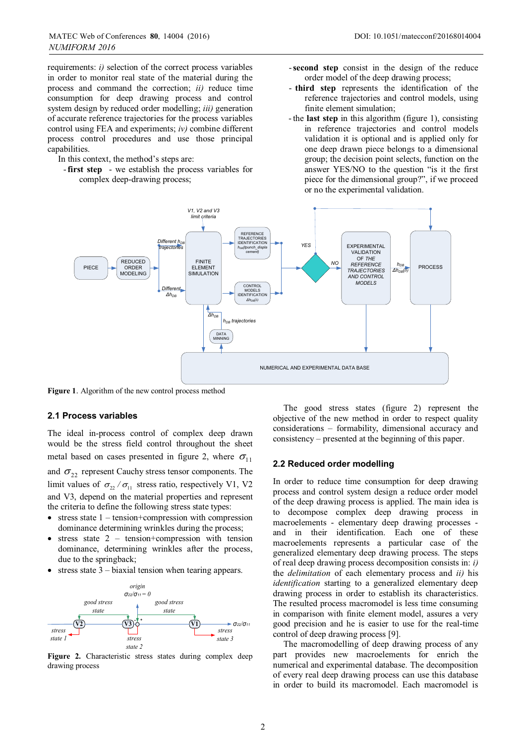requirements: *i)* selection of the correct process variables in order to monitor real state of the material during the process and command the correction; *ii)* reduce time consumption for deep drawing process and control system design by reduced order modelling; *iii)* generation of accurate reference trajectories for the process variables control using FEA and experiments; *iv)* combine different process control procedures and use those principal capabilities.

- In this context, the method's steps are:
	- -**first step** we establish the process variables for complex deep-drawing process;
- -**second step** consist in the design of the reduce order model of the deep drawing process;
- **third step** represents the identification of the reference trajectories and control models, using finite element simulation;
- the **last step** in this algorithm (figure 1), consisting in reference trajectories and control models validation it is optional and is applied only for one deep drawn piece belongs to a dimensional group; the decision point selects, function on the answer YES/NO to the question "is it the first piece for the dimensional group?", if we proceed or no the experimental validation.



**Figure 1**. Algorithm of the new control process method

#### **2.1 Process variables**

The ideal in-process control of complex deep drawn would be the stress field control throughout the sheet metal based on cases presented in figure 2, where  $\sigma_{11}$ and  $\sigma_{22}$  represent Cauchy stress tensor components. The limit values of  $\sigma_{22} / \sigma_{11}$  stress ratio, respectively V1, V2 and V3, depend on the material properties and represent the criteria to define the following stress state types:

- stress state  $1 -$  tension+compression with compression dominance determining wrinkles during the process;
- $\bullet$  stress state 2 tension+compression with tension dominance, determining wrinkles after the process, due to the springback;
- stress state 3 biaxial tension when tearing appears.



**Figure 2.** Characteristic stress states during complex deep drawing process

The good stress states (figure 2) represent the objective of the new method in order to respect quality considerations – formability, dimensional accuracy and consistency – presented at the beginning of this paper.

#### **2.2 Reduced order modelling**

In order to reduce time consumption for deep drawing process and control system design a reduce order model of the deep drawing process is applied. The main idea is to decompose complex deep drawing process in macroelements - elementary deep drawing processes and in their identification. Each one of these macroelements represents a particular case of the generalized elementary deep drawing process. The steps of real deep drawing process decomposition consists in: *i)* the *delimitation* of each elementary process and *ii)* his *identification* starting to a generalized elementary deep drawing process in order to establish its characteristics. The resulted process macromodel is less time consuming in comparison with finite element model, assures a very good precision and he is easier to use for the real-time control of deep drawing process [9].

The macromodelling of deep drawing process of any part provides new macroelements for enrich the numerical and experimental database. The decomposition of every real deep drawing process can use this database in order to build its macromodel. Each macromodel is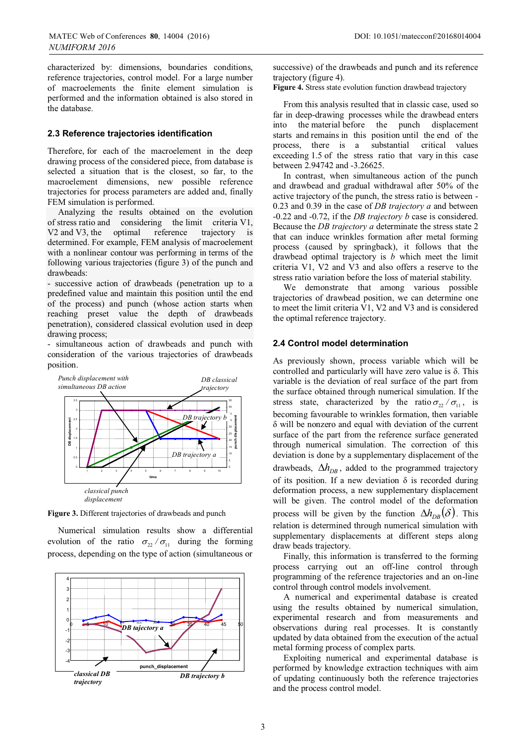characterized by: dimensions, boundaries conditions, reference trajectories, control model. For a large number of macroelements the finite element simulation is performed and the information obtained is also stored in the database.

#### **2.3 Reference trajectories identification**

Therefore, for each of the macroelement in the deep drawing process of the considered piece, from database is selected a situation that is the closest, so far, to the macroelement dimensions, new possible reference trajectories for process parameters are added and, finally FEM simulation is performed.

Analyzing the results obtained on the evolution of stress ratio and considering the limit criteria V1, V2 and V3, the optimal reference trajectory is determined. For example, FEM analysis of macroelement with a nonlinear contour was performing in terms of the following various trajectories (figure 3) of the punch and drawbeads:

- successive action of drawbeads (penetration up to a predefined value and maintain this position until the end of the process) and punch (whose action starts when reaching preset value the depth of drawbeads penetration), considered classical evolution used in deep drawing process;

- simultaneous action of drawbeads and punch with consideration of the various trajectories of drawbeads position.



**Figure 3.** Different trajectories of drawbeads and punch

Numerical simulation results show a differential evolution of the ratio  $\sigma_{22} / \sigma_{11}$  during the forming process, depending on the type of action (simultaneous or



successive) of the drawbeads and punch and its reference trajectory (figure 4).

**Figure 4.** Stress state evolution function drawbead trajectory

From this analysis resulted that in classic case, used so far in deep-drawing processes while the drawbead enters<br>into the material before the punch displacement into the material before the punch displacement starts and remains in this position until the end of the process, there is a substantial critical values exceeding 1.5 of the stress ratio that vary in this case between 2.94742 and -3.26625.

In contrast, when simultaneous action of the punch and drawbead and gradual withdrawal after 50% of the active trajectory of the punch, the stress ratio is between - 0.23 and 0.39 in the case of *DB trajectory a* and between -0.22 and -0.72, if the *DB trajectory b* case is considered. Because the *DB trajectory a* determinate the stress state 2 that can induce wrinkles formation after metal forming process (caused by springback), it follows that the drawbead optimal trajectory is *b* which meet the limit criteria V1, V2 and V3 and also offers a reserve to the stress ratio variation before the loss of material stability.

We demonstrate that among various possible trajectories of drawbead position, we can determine one to meet the limit criteria V1, V2 and V3 and is considered the optimal reference trajectory.

### **2.4 Control model determination**

As previously shown, process variable which will be controlled and particularly will have zero value is δ. This variable is the deviation of real surface of the part from the surface obtained through numerical simulation. If the stress state, characterized by the ratio  $\sigma_{22}/\sigma_{11}$ , is becoming favourable to wrinkles formation, then variable δ will be nonzero and equal with deviation of the current surface of the part from the reference surface generated through numerical simulation. The correction of this deviation is done by a supplementary displacement of the drawbeads,  $\Delta h_{DR}$ , added to the programmed trajectory of its position. If a new deviation  $\delta$  is recorded during deformation process, a new supplementary displacement will be given. The control model of the deformation process will be given by the function  $\Delta h_{DB}(\delta)$ . This relation is determined through numerical simulation with supplementary displacements at different steps along draw beads trajectory.

Finally, this information is transferred to the forming process carrying out an off-line control through programming of the reference trajectories and an on-line control through control models involvement.

A numerical and experimental database is created using the results obtained by numerical simulation, experimental research and from measurements and observations during real processes. It is constantly updated by data obtained from the execution of the actual metal forming process of complex parts.

Exploiting numerical and experimental database is performed by knowledge extraction techniques with aim of updating continuously both the reference trajectories and the process control model.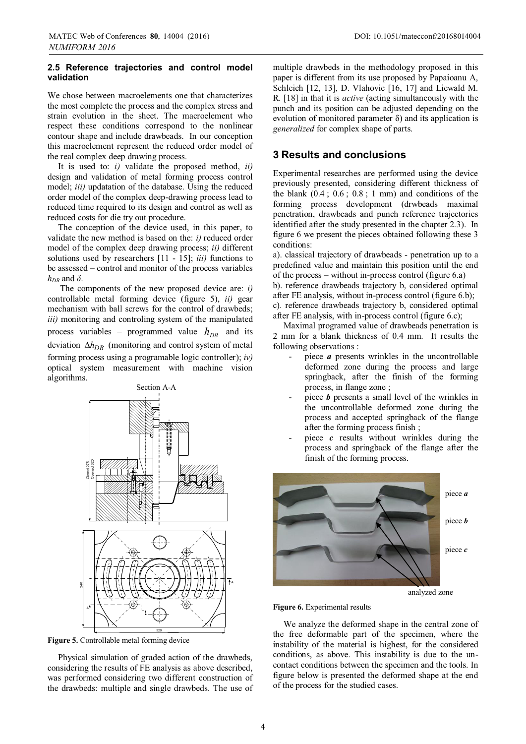#### **2.5 Reference trajectories and control model validation**

We chose between macroelements one that characterizes the most complete the process and the complex stress and strain evolution in the sheet. The macroelement who respect these conditions correspond to the nonlinear contour shape and include drawbeads. In our conception this macroelement represent the reduced order model of the real complex deep drawing process.

It is used to: *i)* validate the proposed method, *ii)* design and validation of metal forming process control model; *iii)* updatation of the database. Using the reduced order model of the complex deep-drawing process lead to reduced time required to its design and control as well as reduced costs for die try out procedure.

The conception of the device used, in this paper, to validate the new method is based on the: *i)* reduced order model of the complex deep drawing process; *ii)* different solutions used by researchers [11 - 15]; *iii)* functions to be assessed – control and monitor of the process variables  $h_{DB}$  and  $\delta$ .

The components of the new proposed device are: *i)* controllable metal forming device (figure 5), *ii)* gear mechanism with ball screws for the control of drawbeds; *iii)* monitoring and controling system of the manipulated process variables – programmed value  $h_{DB}$  and its deviation  $\Delta h_{DB}$  (monitoring and control system of metal forming process using a programable logic controller); *iv)* optical system measurement with machine vision algorithms.



**Figure 5.** Controllable metal forming device

Physical simulation of graded action of the drawbeds, considering the results of FE analysis as above described, was performed considering two different construction of the drawbeds: multiple and single drawbeds. The use of

multiple drawbeds in the methodology proposed in this paper is different from its use proposed by Papaioanu A, Schleich [12, 13], D. Vlahovic [16, 17] and Liewald M. R. [18] in that it is *active* (acting simultaneously with the punch and its position can be adjusted depending on the evolution of monitored parameter  $\delta$ ) and its application is *generalized* for complex shape of parts.

## **3 Results and conclusions**

Experimental researches are performed using the device previously presented, considering different thickness of the blank  $(0.4 \,;\, 0.6 \,;\, 0.8 \,;\, 1 \,;\, mm)$  and conditions of the forming process development (drwbeads maximal penetration, drawbeads and punch reference trajectories identified after the study presented in the chapter 2.3). In figure 6 we present the pieces obtained following these 3 conditions:

a). classical trajectory of drawbeads - penetration up to a predefined value and maintain this position until the end of the process – without in-process control (figure 6.a)

b). reference drawbeads trajectory b, considered optimal after FE analysis, without in-process control (figure 6.b); c). reference drawbeads trajectory b, considered optimal after FE analysis, with in-process control (figure 6.c);

Maximal programed value of drawbeads penetration is 2 mm for a blank thickness of 0.4 mm. It results the following observations :

- piece  $a$  presents wrinkles in the uncontrollable deformed zone during the process and large springback, after the finish of the forming process, in flange zone ;
- piece *b* presents a small level of the wrinkles in the uncontrollable deformed zone during the process and accepted springback of the flange after the forming process finish ;
- piece  $c$  results without wrinkles during the process and springback of the flange after the finish of the forming process.



analyzed zone

#### **Figure 6.** Experimental results

We analyze the deformed shape in the central zone of the free deformable part of the specimen, where the instability of the material is highest, for the considered conditions, as above. This instability is due to the uncontact conditions between the specimen and the tools. In figure below is presented the deformed shape at the end of the process for the studied cases.